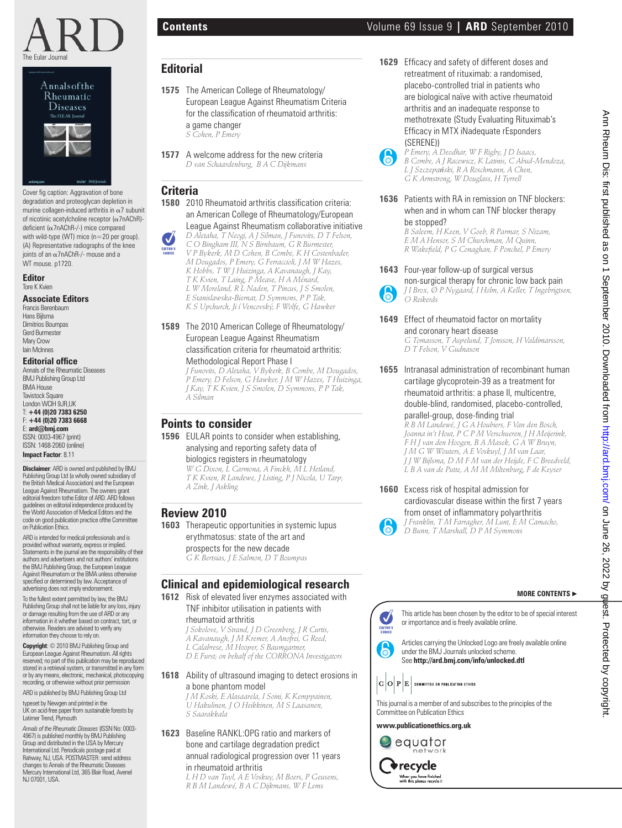



Cover fig caption: Aggravation of bone degradation and proteoglycan depletion in murine collagen-induced arthritis in  $\alpha$ 7 subunit of nicotinic acetylcholine receptor (α7nAChR) deficient (α7nAChR-/-) mice compared with wild-type (WT) mice (n=20 per group). (A) Representative radiographs of the knee joints of an α7nAChR-/- mouse and a WT mouse. p1720.

#### **Editor** Tore K Kvien

#### **Associate Editors**

Francis Berenbaum Hans Bijlsma Dimitrios Boumpas Gerd Burmester Mary Crow Iain McInnes

#### **Editorial office**

Annals of the Rheumatic Diseases BMJ Publishing Group Ltd BMA House **Tavistock Square** London WCIH 9JR,UK T: **+44 (0)20 7383 6250** F: **+44 (0)20 7383 6668** E: **ard@bmj.com** ISSN: 0003-4967 (print) ISSN: 1468-2060 (online)

**Impact Factor**: 8.11

**Disclaimer**: ARD is owned and published by BMJ Publishing Group Ltd (a wholly owned subsidiary of the British Medical Association) and the European League Against Rheumatism. The owners grant editorial freedom tothe Editor of ARD. ARD follows guidelines on editorial independence produced by the World Association of Medical Editors and the code on good publication practice ofthe Committee on Publication Ethics.

ARD is intended for medical professionals and is provided without warranty, express or implied. Statements in the journal are the responsibility of their authors and advertisers and not authors' institutions the BMJ Publishing Group, the European League Against Rheumatism or the BMA unless otherwise specified or determined by law. Acceptance of advertising does not imply endorsement.

To the fullest extent permitted by law, the BMJ Publishing Group shall not be liable for any loss, injury or damage resulting from the use of ARD or any information in it whether based on contract, tort, or otherwise. Readers are advised to verify any information they choose to rely on.

**Copyright**: © 2010 BMJ Publishing Group and European League Against Rheumatism. All rights reserved; no part of this publication may be reproduced stored in a retrieval system, or transmitted in any form or by any means, electronic, mechanical, photocopying recording, or otherwise without prior permission

ARD is published by BMJ Publishing Group Ltd

typeset by Newgen and printed in the UK on acid-free paper from sustainable forests by Latimer Trend, Plymouth

*Annals of the Rheumatic Diseases* (ISSN No: 0003- 4967) is published monthly by BMJ Publishing Group and distributed in the USA by Mercury International Ltd. Periodicals postage paid at Rahway, NJ, USA. POSTMASTER: send address changes to Annals of the Rheumatic Diseases Mercury International Ltd, 365 Blair Road, Avenel NJ 07001 USA

## **Editorial**

- **1575** The American College of Rheumatology/ European League Against Rheumatism Criteria for the classification of rheumatoid arthritis: a game changer
	- *S Cohen, P Emery*
- **1577** A welcome address for the new criteria  *D van Schaardenburg, B A C Dijkmans*

## **Criteria**

**1580** 2010 Rheumatoid arthritis classification criteria: an American College of Rheumatology/European

League Against Rheumatism collaborative initiative  *D Aletaha, T Neogi, A J Silman, J Funovits, D T Felson,* 

*C O Bingham III, N S Birnbaum, G R Burmester, V P Bykerk, M D Cohen, B Combe, K H Costenbader, M Dougados, P Emery, G Ferraccioli, J M W Hazes, K Hobbs, T W J Huizinga, A Kavanaugh, J Kay, T K Kvien, T Laing, P Mease, H A Ménard, L W Moreland, R L Naden, T Pincus, J S Smolen, E Stanislawska-Biernat, D Symmons, P P Tak, K S Upchurch, Ji í Vencovský, F Wolfe, G Hawker* **Example 2012 Control in the computational control in the computational control in the computational control in the computational control in the computational control in the computational control in the computational c** 

**1589** The 2010 American College of Rheumatology/ European League Against Rheumatism classification criteria for rheumatoid arthritis: Methodological Report Phase I

 *J Funovits, D Aletaha, V Bykerk, B Combe, M Dougados, P Emery, D Felson, G Hawker, J M W Hazes, T Huizinga, J Kay, T K Kvien, J S Smolen, D Symmons, P P Tak, A Silman*

# **Points to consider**

**1596** EULAR points to consider when establishing, analysing and reporting safety data of

#### biologics registers in rheumatology

 *W G Dixon, L Carmona, A Finckh, M L Hetland, T K Kvien, R Landewe, J Listing, P J Nicola, U Tarp, A Zink, J Askling*

## **Review 2010**

**1603** Therapeutic opportunities in systemic lupus erythmatosus: state of the art and prospects for the new decade  *G K Bertsias, J E Salmon, D T Boumpas*

## **Clinical and epidemiological research**

**1612** Risk of elevated liver enzymes associated with TNF inhibitor utilisation in patients with

## rheumatoid arthritis

- *J Sokolove, V Strand, J D Greenberg, J R Curtis, A Kavanaugh, J M Kremer, A Anofrei, G Reed,*
- 
- *L Calabrese, M Hooper, S Baumgartner, D E Furst; on behalf of the CORRONA Investigators*

#### **1618** Ability of ultrasound imaging to detect erosions in a bone phantom model

 *J M Koski, E Alasaarela, I Soini, K Kemppainen, U Hakulinen, J O Heikkinen, M S Laasanen, S Saarakkala*

#### **1623** Baseline RANKL:OPG ratio and markers of bone and cartilage degradation predict annual radiological progression over 11 years in rheumatoid arthritis

 *L H D van Tuyl, A E Voskuy, M Boers, P Geusens, R B M Landewé, B A C Dijkmans, W F Lems*

**1629** Efficacy and safety of different doses and retreatment of rituximab: a randomised, placebo-controlled trial in patients who are biological naïve with active rheumatoid arthritis and an inadequate response to methotrexate (Study Evaluating Rituximab's Efficacy in MTX iNadequate rEsponders



**1636** Patients with RA in remission on TNF blockers: when and in whom can TNF blocker therapy be stopped?

 *B Saleem, H Keen, V Goeb, R Parmar, S Nizam, E M A Hensor, S M Churchman, M Quinn, R Wakefi eld, P G Conaghan, F Ponchel, P Emery*

- **1643** Four-year follow-up of surgical versus non-surgical therapy for chronic low back pain  *J I Brox, Ø P Nygaard, I Holm, A Keller, T Ingebrigtsen, O Reikerås*
- **1649** Effect of rheumatoid factor on mortality and coronary heart disease

 *G Tomasson, T Aspelund, T Jonsson, H Valdimarsson, D T Felson, V Gudnason*

**1655** Intranasal administration of recombinant human cartilage glycoprotein-39 as a treatment for rheumatoid arthritis: a phase II, multicentre, double-blind, randomised, placebo-controlled, parallel-group, dose-finding trial

 *R B M Landewé, J G A Houbiers, F Van den Bosch, Joanna in't Hout, P C P M Verschueren, J H Meijerink, F H J van den Hoogen, B A Masek, G A W Bruyn, J M G W Wouters, A E Voskuyl, J M van Laar, J J W Bijlsma, D M F M van der Heijde, F C Breedveld, L B A van de Putte, A M M Miltenburg, F de Keyser*

**1660** Excess risk of hospital admission for cardiovascular disease within the first 7 years from onset of inflammatory polyarthritis  *J Franklin, T M Farragher, M Lunt, E M Camacho, D Bunn, T Marshall, D P M Symmons*

## **MORE CONTENTS** ▶

This article has been chosen by the editor to be of special interest or importance and is freely available online. Articles carrying the Unlocked Logo are freely available online under the BMJ Journals unlocked scheme.

See **http://ard.bmj.com/info/unlocked.dtl**

This journal is a member of and subscribes to the principles of the Committee on Publication Ethics

**www.publicationethics.org.uk**